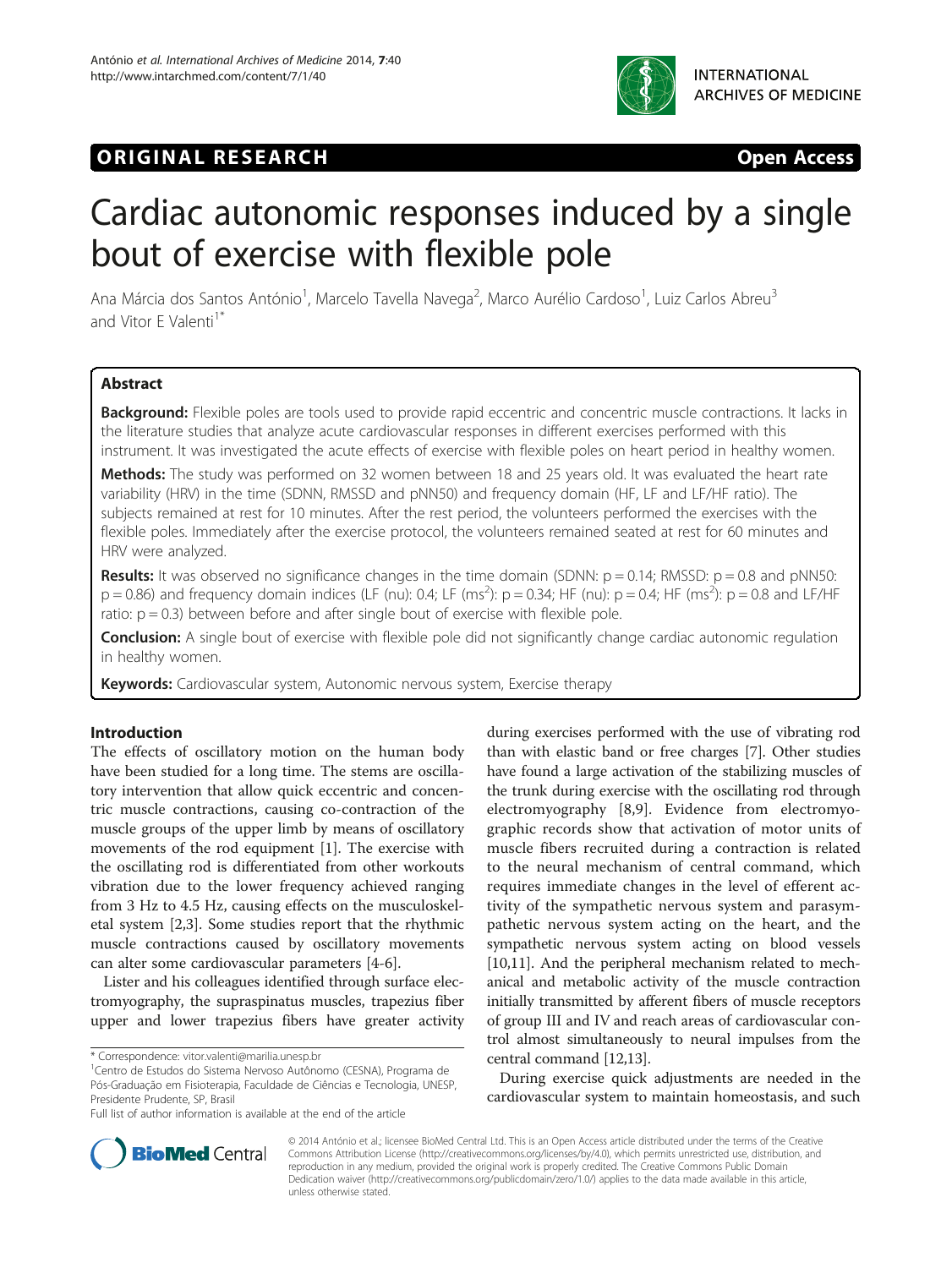

# **ORIGINAL RESEARCH CONSUMING ACCESS**

# Cardiac autonomic responses induced by a single bout of exercise with flexible pole

Ana Márcia dos Santos António<sup>1</sup>, Marcelo Tavella Navega<sup>2</sup>, Marco Aurélio Cardoso<sup>1</sup>, Luiz Carlos Abreu<sup>3</sup> and Vitor F Valenti<sup>1\*</sup>

# Abstract

Background: Flexible poles are tools used to provide rapid eccentric and concentric muscle contractions. It lacks in the literature studies that analyze acute cardiovascular responses in different exercises performed with this instrument. It was investigated the acute effects of exercise with flexible poles on heart period in healthy women.

Methods: The study was performed on 32 women between 18 and 25 years old. It was evaluated the heart rate variability (HRV) in the time (SDNN, RMSSD and pNN50) and frequency domain (HF, LF and LF/HF ratio). The subjects remained at rest for 10 minutes. After the rest period, the volunteers performed the exercises with the flexible poles. Immediately after the exercise protocol, the volunteers remained seated at rest for 60 minutes and HRV were analyzed.

**Results:** It was observed no significance changes in the time domain (SDNN:  $p = 0.14$ ; RMSSD:  $p = 0.8$  and pNN50:  $p = 0.86$ ) and frequency domain indices (LF (nu): 0.4; LF (ms<sup>2</sup>):  $p = 0.34$ ; HF (nu):  $p = 0.4$ ; HF (ms<sup>2</sup>):  $p = 0.8$  and LF/HF ratio:  $p = 0.3$ ) between before and after single bout of exercise with flexible pole.

**Conclusion:** A single bout of exercise with flexible pole did not significantly change cardiac autonomic regulation in healthy women.

Keywords: Cardiovascular system, Autonomic nervous system, Exercise therapy

# Introduction

The effects of oscillatory motion on the human body have been studied for a long time. The stems are oscillatory intervention that allow quick eccentric and concentric muscle contractions, causing co-contraction of the muscle groups of the upper limb by means of oscillatory movements of the rod equipment [\[1](#page-4-0)]. The exercise with the oscillating rod is differentiated from other workouts vibration due to the lower frequency achieved ranging from 3 Hz to 4.5 Hz, causing effects on the musculoskeletal system [\[2,3](#page-4-0)]. Some studies report that the rhythmic muscle contractions caused by oscillatory movements can alter some cardiovascular parameters [\[4](#page-4-0)-[6\]](#page-4-0).

Lister and his colleagues identified through surface electromyography, the supraspinatus muscles, trapezius fiber upper and lower trapezius fibers have greater activity during exercises performed with the use of vibrating rod than with elastic band or free charges [\[7](#page-4-0)]. Other studies have found a large activation of the stabilizing muscles of the trunk during exercise with the oscillating rod through electromyography [\[8](#page-4-0),[9\]](#page-4-0). Evidence from electromyographic records show that activation of motor units of muscle fibers recruited during a contraction is related to the neural mechanism of central command, which requires immediate changes in the level of efferent activity of the sympathetic nervous system and parasympathetic nervous system acting on the heart, and the sympathetic nervous system acting on blood vessels [[10](#page-4-0),[11](#page-4-0)]. And the peripheral mechanism related to mechanical and metabolic activity of the muscle contraction initially transmitted by afferent fibers of muscle receptors of group III and IV and reach areas of cardiovascular control almost simultaneously to neural impulses from the central command [[12,13](#page-4-0)].

During exercise quick adjustments are needed in the cardiovascular system to maintain homeostasis, and such



© 2014 António et al.; licensee BioMed Central Ltd. This is an Open Access article distributed under the terms of the Creative Commons Attribution License [\(http://creativecommons.org/licenses/by/4.0\)](http://creativecommons.org/licenses/by/4.0), which permits unrestricted use, distribution, and reproduction in any medium, provided the original work is properly credited. The Creative Commons Public Domain Dedication waiver [\(http://creativecommons.org/publicdomain/zero/1.0/](http://creativecommons.org/publicdomain/zero/1.0/)) applies to the data made available in this article, unless otherwise stated.

<sup>\*</sup> Correspondence: [vitor.valenti@marilia.unesp.br](mailto:vitor.valenti@marilia.unesp.br) <sup>1</sup>

Centro de Estudos do Sistema Nervoso Autônomo (CESNA), Programa de Pós-Graduação em Fisioterapia, Faculdade de Ciências e Tecnologia, UNESP, Presidente Prudente, SP, Brasil

Full list of author information is available at the end of the article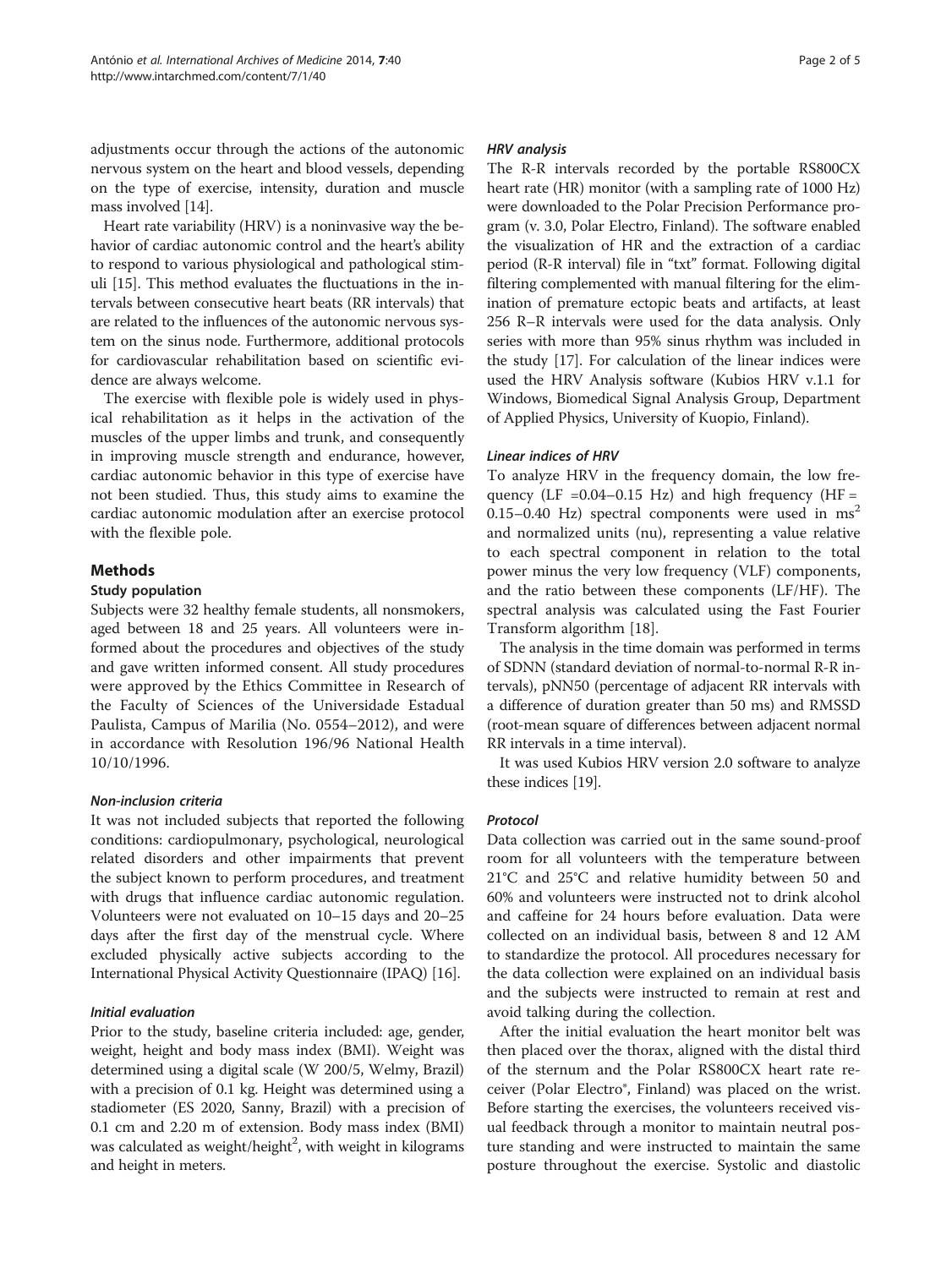adjustments occur through the actions of the autonomic nervous system on the heart and blood vessels, depending on the type of exercise, intensity, duration and muscle mass involved [\[14](#page-4-0)].

Heart rate variability (HRV) is a noninvasive way the behavior of cardiac autonomic control and the heart's ability to respond to various physiological and pathological stimuli [\[15\]](#page-4-0). This method evaluates the fluctuations in the intervals between consecutive heart beats (RR intervals) that are related to the influences of the autonomic nervous system on the sinus node. Furthermore, additional protocols for cardiovascular rehabilitation based on scientific evidence are always welcome.

The exercise with flexible pole is widely used in physical rehabilitation as it helps in the activation of the muscles of the upper limbs and trunk, and consequently in improving muscle strength and endurance, however, cardiac autonomic behavior in this type of exercise have not been studied. Thus, this study aims to examine the cardiac autonomic modulation after an exercise protocol with the flexible pole.

# Methods

#### Study population

Subjects were 32 healthy female students, all nonsmokers, aged between 18 and 25 years. All volunteers were informed about the procedures and objectives of the study and gave written informed consent. All study procedures were approved by the Ethics Committee in Research of the Faculty of Sciences of the Universidade Estadual Paulista, Campus of Marilia (No. 0554–2012), and were in accordance with Resolution 196/96 National Health 10/10/1996.

# Non-inclusion criteria

It was not included subjects that reported the following conditions: cardiopulmonary, psychological, neurological related disorders and other impairments that prevent the subject known to perform procedures, and treatment with drugs that influence cardiac autonomic regulation. Volunteers were not evaluated on 10–15 days and 20–25 days after the first day of the menstrual cycle. Where excluded physically active subjects according to the International Physical Activity Questionnaire (IPAQ) [\[16\]](#page-4-0).

# Initial evaluation

Prior to the study, baseline criteria included: age, gender, weight, height and body mass index (BMI). Weight was determined using a digital scale (W 200/5, Welmy, Brazil) with a precision of 0.1 kg. Height was determined using a stadiometer (ES 2020, Sanny, Brazil) with a precision of 0.1 cm and 2.20 m of extension. Body mass index (BMI) was calculated as weight/height $^2$ , with weight in kilograms and height in meters.

#### HRV analysis

The R-R intervals recorded by the portable RS800CX heart rate (HR) monitor (with a sampling rate of 1000 Hz) were downloaded to the Polar Precision Performance program (v. 3.0, Polar Electro, Finland). The software enabled the visualization of HR and the extraction of a cardiac period (R-R interval) file in "txt" format. Following digital filtering complemented with manual filtering for the elimination of premature ectopic beats and artifacts, at least 256 R–R intervals were used for the data analysis. Only series with more than 95% sinus rhythm was included in the study [[17](#page-4-0)]. For calculation of the linear indices were used the HRV Analysis software (Kubios HRV v.1.1 for Windows, Biomedical Signal Analysis Group, Department of Applied Physics, University of Kuopio, Finland).

#### Linear indices of HRV

To analyze HRV in the frequency domain, the low frequency (LF = $0.04 - 0.15$  Hz) and high frequency (HF = 0.15–0.40 Hz) spectral components were used in  $ms<sup>2</sup>$ and normalized units (nu), representing a value relative to each spectral component in relation to the total power minus the very low frequency (VLF) components, and the ratio between these components (LF/HF). The spectral analysis was calculated using the Fast Fourier Transform algorithm [\[18\]](#page-4-0).

The analysis in the time domain was performed in terms of SDNN (standard deviation of normal-to-normal R-R intervals), pNN50 (percentage of adjacent RR intervals with a difference of duration greater than 50 ms) and RMSSD (root-mean square of differences between adjacent normal RR intervals in a time interval).

It was used Kubios HRV version 2.0 software to analyze these indices [\[19](#page-4-0)].

# Protocol

Data collection was carried out in the same sound-proof room for all volunteers with the temperature between 21°C and 25°C and relative humidity between 50 and 60% and volunteers were instructed not to drink alcohol and caffeine for 24 hours before evaluation. Data were collected on an individual basis, between 8 and 12 AM to standardize the protocol. All procedures necessary for the data collection were explained on an individual basis and the subjects were instructed to remain at rest and avoid talking during the collection.

After the initial evaluation the heart monitor belt was then placed over the thorax, aligned with the distal third of the sternum and the Polar RS800CX heart rate receiver (Polar Electro®, Finland) was placed on the wrist. Before starting the exercises, the volunteers received visual feedback through a monitor to maintain neutral posture standing and were instructed to maintain the same posture throughout the exercise. Systolic and diastolic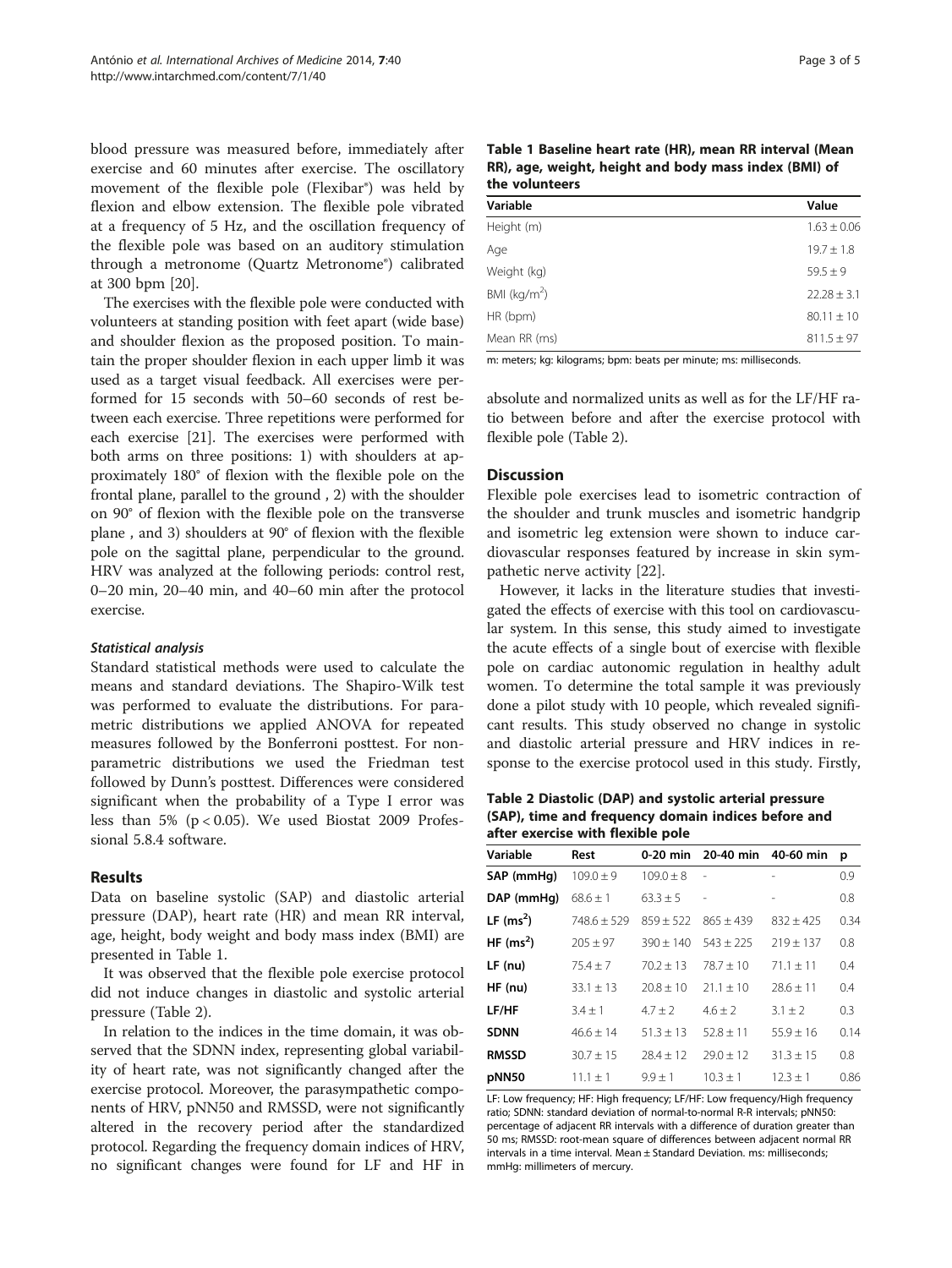blood pressure was measured before, immediately after exercise and 60 minutes after exercise. The oscillatory movement of the flexible pole (Flexibar®) was held by flexion and elbow extension. The flexible pole vibrated at a frequency of 5 Hz, and the oscillation frequency of the flexible pole was based on an auditory stimulation through a metronome (Quartz Metronome®) calibrated at 300 bpm [\[20](#page-4-0)].

The exercises with the flexible pole were conducted with volunteers at standing position with feet apart (wide base) and shoulder flexion as the proposed position. To maintain the proper shoulder flexion in each upper limb it was used as a target visual feedback. All exercises were performed for 15 seconds with 50–60 seconds of rest between each exercise. Three repetitions were performed for each exercise [\[21\]](#page-4-0). The exercises were performed with both arms on three positions: 1) with shoulders at approximately 180° of flexion with the flexible pole on the frontal plane, parallel to the ground , 2) with the shoulder on 90° of flexion with the flexible pole on the transverse plane , and 3) shoulders at 90° of flexion with the flexible pole on the sagittal plane, perpendicular to the ground. HRV was analyzed at the following periods: control rest, 0–20 min, 20–40 min, and 40–60 min after the protocol exercise.

#### Statistical analysis

Standard statistical methods were used to calculate the means and standard deviations. The Shapiro-Wilk test was performed to evaluate the distributions. For parametric distributions we applied ANOVA for repeated measures followed by the Bonferroni posttest. For nonparametric distributions we used the Friedman test followed by Dunn's posttest. Differences were considered significant when the probability of a Type I error was less than 5% ( $p < 0.05$ ). We used Biostat 2009 Professional 5.8.4 software.

#### Results

Data on baseline systolic (SAP) and diastolic arterial pressure (DAP), heart rate (HR) and mean RR interval, age, height, body weight and body mass index (BMI) are presented in Table 1.

It was observed that the flexible pole exercise protocol did not induce changes in diastolic and systolic arterial pressure (Table 2).

In relation to the indices in the time domain, it was observed that the SDNN index, representing global variability of heart rate, was not significantly changed after the exercise protocol. Moreover, the parasympathetic components of HRV, pNN50 and RMSSD, were not significantly altered in the recovery period after the standardized protocol. Regarding the frequency domain indices of HRV, no significant changes were found for LF and HF in

| rage 3 |  | ΩŤ |  |
|--------|--|----|--|
|--------|--|----|--|

| Table 1 Baseline heart rate (HR), mean RR interval (Mean |
|----------------------------------------------------------|
| RR), age, weight, height and body mass index (BMI) of    |
| the volunteers                                           |

| Variable                 | Value           |  |  |
|--------------------------|-----------------|--|--|
| Height (m)               | $1.63 \pm 0.06$ |  |  |
| Age                      | $19.7 \pm 1.8$  |  |  |
| Weight (kg)              | $59.5 \pm 9$    |  |  |
| BMI (kg/m <sup>2</sup> ) | $22.28 \pm 3.1$ |  |  |
| HR (bpm)                 | $80.11 \pm 10$  |  |  |
| Mean RR (ms)             | $811.5 \pm 97$  |  |  |

m: meters; kg: kilograms; bpm: beats per minute; ms: milliseconds.

absolute and normalized units as well as for the LF/HF ratio between before and after the exercise protocol with flexible pole (Table 2).

# **Discussion**

Flexible pole exercises lead to isometric contraction of the shoulder and trunk muscles and isometric handgrip and isometric leg extension were shown to induce cardiovascular responses featured by increase in skin sympathetic nerve activity [\[22](#page-4-0)].

However, it lacks in the literature studies that investigated the effects of exercise with this tool on cardiovascular system. In this sense, this study aimed to investigate the acute effects of a single bout of exercise with flexible pole on cardiac autonomic regulation in healthy adult women. To determine the total sample it was previously done a pilot study with 10 people, which revealed significant results. This study observed no change in systolic and diastolic arterial pressure and HRV indices in response to the exercise protocol used in this study. Firstly,

Table 2 Diastolic (DAP) and systolic arterial pressure (SAP), time and frequency domain indices before and after exercise with flexible pole

| Variable     | Rest            | $0-20$ min    | 20-40 min      | 40-60 min      | p    |
|--------------|-----------------|---------------|----------------|----------------|------|
| SAP (mmHq)   | $109.0 \pm 9$   | $109.0 \pm 8$ | $\overline{a}$ | $\overline{a}$ | 0.9  |
| DAP (mmHg)   | $68.6 \pm 1$    | $63.3 \pm 5$  | $\overline{a}$ |                | 0.8  |
| LF $(ms^2)$  | $748.6 \pm 529$ | $859 + 522$   | $865 + 439$    | $832 \pm 425$  | 0.34 |
| HF $(ms^2)$  | $205 \pm 97$    | $390 \pm 140$ | $543 \pm 225$  | $219 \pm 137$  | 0.8  |
| $LF$ (nu)    | $75.4 \pm 7$    | $70.2 + 13$   | $78.7 + 10$    | $71.1 \pm 11$  | 0.4  |
| $HF$ (nu)    | $33.1 \pm 13$   | $20.8 \pm 10$ | $21.1 \pm 10$  | $28.6 \pm 11$  | 0.4  |
| LF/HF        | $3.4 \pm 1$     | $4.7 + 2$     | $4.6 + 2$      | $3.1 + 2$      | 0.3  |
| <b>SDNN</b>  | $46.6 \pm 14$   | $51.3 \pm 13$ | $52.8 \pm 11$  | $55.9 \pm 16$  | 0.14 |
| <b>RMSSD</b> | $30.7 \pm 15$   | $78.4 + 17$   | $79.0 + 12$    | $31.3 \pm 15$  | 0.8  |
| pNN50        | $11.1 \pm 1$    | $9.9 \pm 1$   | $10.3 \pm 1$   | $12.3 \pm 1$   | 0.86 |

LF: Low frequency; HF: High frequency; LF/HF: Low frequency/High frequency ratio; SDNN: standard deviation of normal-to-normal R-R intervals; pNN50: percentage of adjacent RR intervals with a difference of duration greater than 50 ms; RMSSD: root-mean square of differences between adjacent normal RR intervals in a time interval. Mean ± Standard Deviation. ms: milliseconds; mmHg: millimeters of mercury.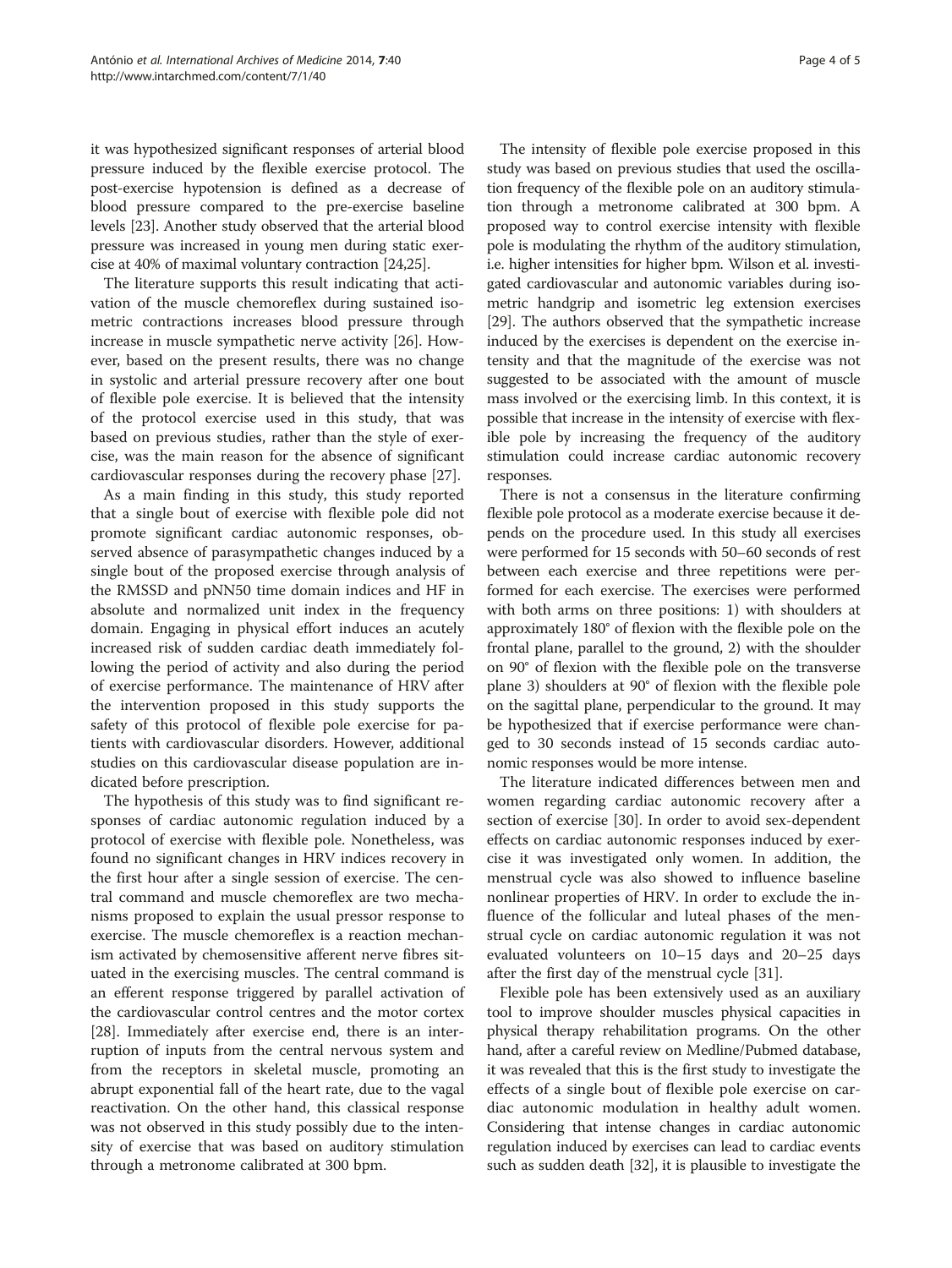it was hypothesized significant responses of arterial blood pressure induced by the flexible exercise protocol. The post-exercise hypotension is defined as a decrease of blood pressure compared to the pre-exercise baseline levels [[23](#page-4-0)]. Another study observed that the arterial blood pressure was increased in young men during static exercise at 40% of maximal voluntary contraction [[24,25](#page-4-0)].

The literature supports this result indicating that activation of the muscle chemoreflex during sustained isometric contractions increases blood pressure through increase in muscle sympathetic nerve activity [\[26\]](#page-4-0). However, based on the present results, there was no change in systolic and arterial pressure recovery after one bout of flexible pole exercise. It is believed that the intensity of the protocol exercise used in this study, that was based on previous studies, rather than the style of exercise, was the main reason for the absence of significant cardiovascular responses during the recovery phase [\[27](#page-4-0)].

As a main finding in this study, this study reported that a single bout of exercise with flexible pole did not promote significant cardiac autonomic responses, observed absence of parasympathetic changes induced by a single bout of the proposed exercise through analysis of the RMSSD and pNN50 time domain indices and HF in absolute and normalized unit index in the frequency domain. Engaging in physical effort induces an acutely increased risk of sudden cardiac death immediately following the period of activity and also during the period of exercise performance. The maintenance of HRV after the intervention proposed in this study supports the safety of this protocol of flexible pole exercise for patients with cardiovascular disorders. However, additional studies on this cardiovascular disease population are indicated before prescription.

The hypothesis of this study was to find significant responses of cardiac autonomic regulation induced by a protocol of exercise with flexible pole. Nonetheless, was found no significant changes in HRV indices recovery in the first hour after a single session of exercise. The central command and muscle chemoreflex are two mechanisms proposed to explain the usual pressor response to exercise. The muscle chemoreflex is a reaction mechanism activated by chemosensitive afferent nerve fibres situated in the exercising muscles. The central command is an efferent response triggered by parallel activation of the cardiovascular control centres and the motor cortex [[28\]](#page-4-0). Immediately after exercise end, there is an interruption of inputs from the central nervous system and from the receptors in skeletal muscle, promoting an abrupt exponential fall of the heart rate, due to the vagal reactivation. On the other hand, this classical response was not observed in this study possibly due to the intensity of exercise that was based on auditory stimulation through a metronome calibrated at 300 bpm.

The intensity of flexible pole exercise proposed in this study was based on previous studies that used the oscillation frequency of the flexible pole on an auditory stimulation through a metronome calibrated at 300 bpm. A proposed way to control exercise intensity with flexible pole is modulating the rhythm of the auditory stimulation, i.e. higher intensities for higher bpm. Wilson et al. investigated cardiovascular and autonomic variables during isometric handgrip and isometric leg extension exercises [[29](#page-4-0)]. The authors observed that the sympathetic increase induced by the exercises is dependent on the exercise intensity and that the magnitude of the exercise was not suggested to be associated with the amount of muscle mass involved or the exercising limb. In this context, it is possible that increase in the intensity of exercise with flexible pole by increasing the frequency of the auditory stimulation could increase cardiac autonomic recovery responses.

There is not a consensus in the literature confirming flexible pole protocol as a moderate exercise because it depends on the procedure used. In this study all exercises were performed for 15 seconds with 50–60 seconds of rest between each exercise and three repetitions were performed for each exercise. The exercises were performed with both arms on three positions: 1) with shoulders at approximately 180° of flexion with the flexible pole on the frontal plane, parallel to the ground, 2) with the shoulder on 90° of flexion with the flexible pole on the transverse plane 3) shoulders at 90° of flexion with the flexible pole on the sagittal plane, perpendicular to the ground. It may be hypothesized that if exercise performance were changed to 30 seconds instead of 15 seconds cardiac autonomic responses would be more intense.

The literature indicated differences between men and women regarding cardiac autonomic recovery after a section of exercise [[30\]](#page-4-0). In order to avoid sex-dependent effects on cardiac autonomic responses induced by exercise it was investigated only women. In addition, the menstrual cycle was also showed to influence baseline nonlinear properties of HRV. In order to exclude the influence of the follicular and luteal phases of the menstrual cycle on cardiac autonomic regulation it was not evaluated volunteers on 10–15 days and 20–25 days after the first day of the menstrual cycle [[31\]](#page-4-0).

Flexible pole has been extensively used as an auxiliary tool to improve shoulder muscles physical capacities in physical therapy rehabilitation programs. On the other hand, after a careful review on Medline/Pubmed database, it was revealed that this is the first study to investigate the effects of a single bout of flexible pole exercise on cardiac autonomic modulation in healthy adult women. Considering that intense changes in cardiac autonomic regulation induced by exercises can lead to cardiac events such as sudden death [[32](#page-4-0)], it is plausible to investigate the